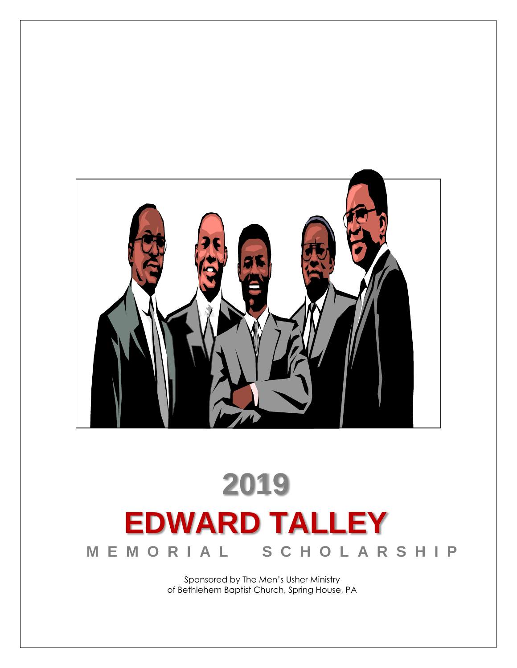

# **2019 EDWARD TALLEY M E M O R I A L S C H O L A R S H I P**

Sponsored by The Men's Usher Ministry of Bethlehem Baptist Church, Spring House, PA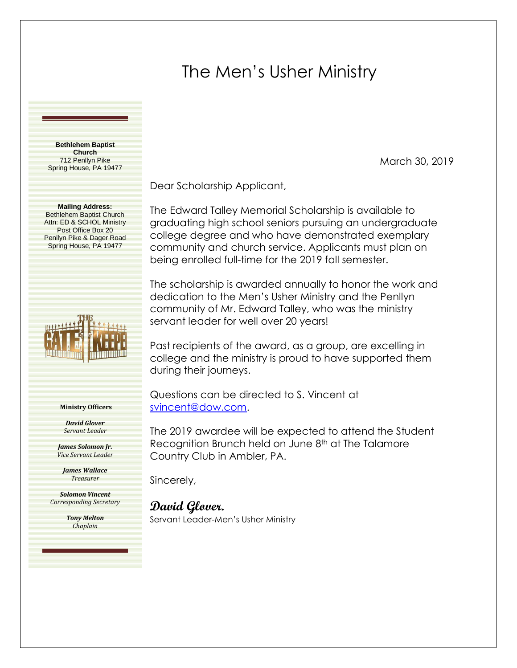# The Men's Usher Ministry

**Bethlehem Baptist Church** 712 Penllyn Pike Spring House, PA 19477

**Mailing Address:**  Bethlehem Baptist Church Attn: ED & SCHOL Ministry Post Office Box 20 Penllyn Pike & Dager Road Spring House, PA 19477



#### **Ministry Officers**

*David Glover Servant Leader*

*James Solomon Jr. Vice Servant Leader*

*James Wallace Treasurer*

*Solomon Vincent Corresponding Secretary*

> *Tony Melton Chaplain*

Dear Scholarship Applicant,

The Edward Talley Memorial Scholarship is available to graduating high school seniors pursuing an undergraduate college degree and who have demonstrated exemplary community and church service. Applicants must plan on being enrolled full-time for the 2019 fall semester.

March 30, 2019

The scholarship is awarded annually to honor the work and dedication to the Men's Usher Ministry and the Penllyn community of Mr. Edward Talley, who was the ministry servant leader for well over 20 years!

Past recipients of the award, as a group, are excelling in college and the ministry is proud to have supported them during their journeys.

Questions can be directed to S. Vincent at [svincent@dow.com.](mailto:svincent@dow.com)

The 2019 awardee will be expected to attend the Student Recognition Brunch held on June 8<sup>th</sup> at The Talamore Country Club in Ambler, PA.

Sincerely,

### **David Glover.**

Servant Leader-Men's Usher Ministry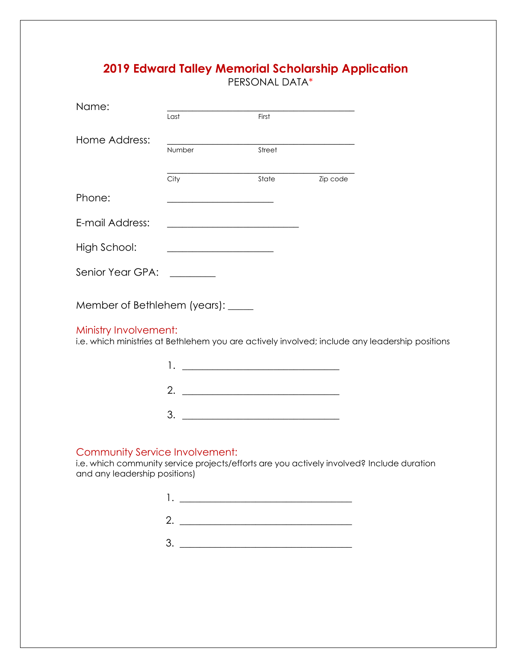## **2019 Edward Talley Memorial Scholarship Application**

PERSONAL DATA\*

| Name:                                                                                                                       |                                                                                                                       |                                                           |          |  |
|-----------------------------------------------------------------------------------------------------------------------------|-----------------------------------------------------------------------------------------------------------------------|-----------------------------------------------------------|----------|--|
|                                                                                                                             | Last                                                                                                                  | First                                                     |          |  |
| Home Address:                                                                                                               |                                                                                                                       |                                                           |          |  |
|                                                                                                                             | Number                                                                                                                | Street                                                    |          |  |
|                                                                                                                             | City                                                                                                                  | State                                                     | Zip code |  |
| Phone:                                                                                                                      | <u> 1989 - Johann John Stone, markin film yn y breninnas y breninnas y breninn y breninn y breninn y breninn y br</u> |                                                           |          |  |
| E-mail Address:                                                                                                             |                                                                                                                       | <u> 1989 - Johann Barbara, martxa amerikan personal (</u> |          |  |
| High School:                                                                                                                |                                                                                                                       |                                                           |          |  |
| Senior Year GPA: The Senior Year                                                                                            |                                                                                                                       |                                                           |          |  |
| Member of Bethlehem (years): _____                                                                                          |                                                                                                                       |                                                           |          |  |
| Ministry Involvement:<br>i.e. which ministries at Bethlehem you are actively involved; include any leadership positions     |                                                                                                                       |                                                           |          |  |
|                                                                                                                             |                                                                                                                       | 1. <u>___________________________</u>                     |          |  |
|                                                                                                                             | 2. $\qquad \qquad$                                                                                                    |                                                           |          |  |
|                                                                                                                             |                                                                                                                       |                                                           |          |  |
| Community Service Involvement:<br>i.e. which community service projects/efforts are you actively involved? Include duration |                                                                                                                       |                                                           |          |  |

and any leadership positions)

| <u> 1980 - Jan Barbara Barbara, prima prima prima prima prima prima prima prima prima prima prima prima prima pri</u> |
|-----------------------------------------------------------------------------------------------------------------------|
|                                                                                                                       |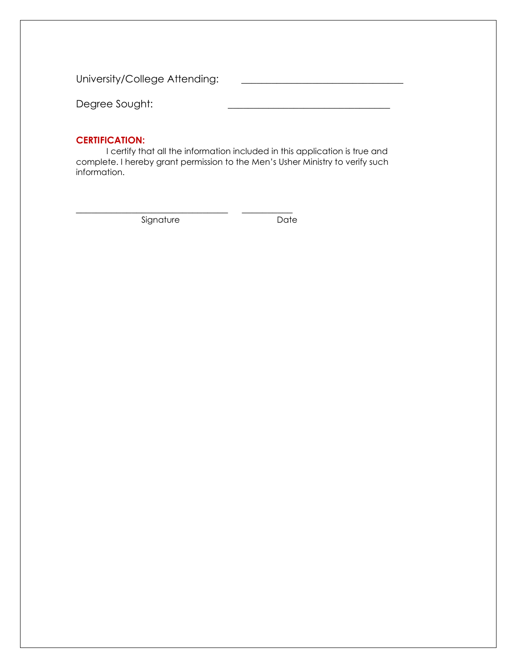University/College Attending: \_\_\_\_\_\_\_\_\_\_\_\_\_\_\_\_\_\_\_\_\_\_\_\_\_\_\_\_\_\_\_\_

Degree Sought:

#### **CERTIFICATION:**

I certify that all the information included in this application is true and complete. I hereby grant permission to the Men's Usher Ministry to verify such information.

Signature Date

\_\_\_\_\_\_\_\_\_\_\_\_\_\_\_\_\_\_\_\_\_\_\_\_\_\_\_\_\_\_ \_\_\_\_\_\_\_\_\_\_